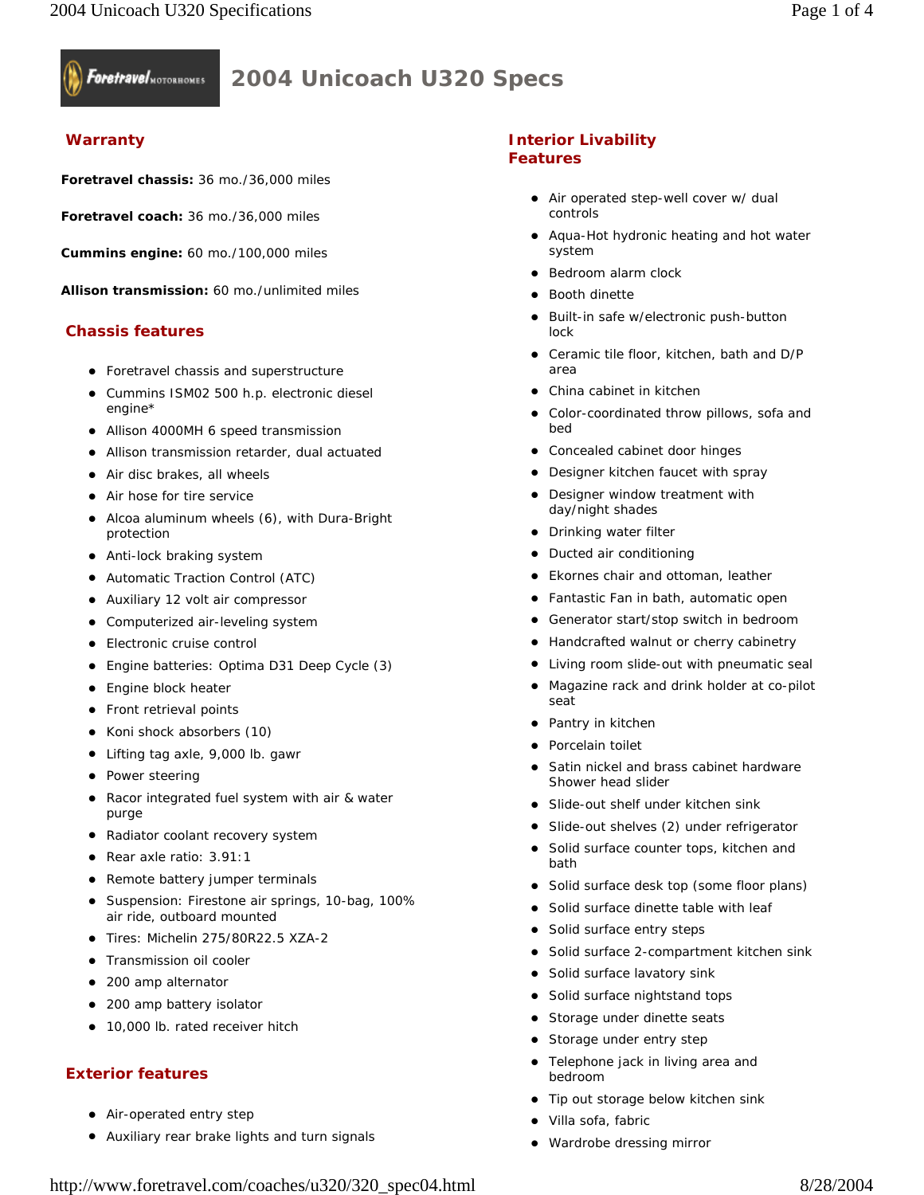

# **2004 Unicoach U320 Specs**

#### **Warranty**

**Foretravel chassis:** 36 mo./36,000 miles

**Foretravel coach:** 36 mo./36,000 miles

**Cummins engine:** 60 mo./100,000 miles

**Allison transmission:** 60 mo./unlimited miles

#### **Chassis features**

- Foretravel chassis and superstructure
- Cummins ISM02 500 h.p. electronic diesel engine\*
- Allison 4000MH 6 speed transmission
- Allison transmission retarder, dual actuated
- Air disc brakes, all wheels
- Air hose for tire service
- Alcoa aluminum wheels (6), with Dura-Bright protection
- Anti-lock braking system
- Automatic Traction Control (ATC)
- Auxiliary 12 volt air compressor
- Computerized air-leveling system
- Electronic cruise control
- Engine batteries: Optima D31 Deep Cycle (3)
- **•** Engine block heater
- Front retrieval points
- Koni shock absorbers (10)
- Lifting tag axle, 9,000 lb. gawr
- Power steering
- Racor integrated fuel system with air & water purge
- Radiator coolant recovery system
- Rear axle ratio: 3.91:1
- Remote battery jumper terminals
- Suspension: Firestone air springs, 10-bag, 100% air ride, outboard mounted
- Tires: Michelin 275/80R22.5 XZA-2
- Transmission oil cooler
- 200 amp alternator
- 200 amp battery isolator
- 10,000 lb. rated receiver hitch

#### **Exterior features**

- Air-operated entry step
- Auxiliary rear brake lights and turn signals

#### **Interior Livability Features**

- Air operated step-well cover w/ dual controls
- Aqua-Hot hydronic heating and hot water system
- Bedroom alarm clock
- Booth dinette
- Built-in safe w/electronic push-button lock
- Ceramic tile floor, kitchen, bath and D/P area
- China cabinet in kitchen
- Color-coordinated throw pillows, sofa and bed
- Concealed cabinet door hinges
- Designer kitchen faucet with spray
- Designer window treatment with day/night shades
- Drinking water filter
- Ducted air conditioning
- Ekornes chair and ottoman, leather
- Fantastic Fan in bath, automatic open
- Generator start/stop switch in bedroom
- Handcrafted walnut or cherry cabinetry
- Living room slide-out with pneumatic seal
- Magazine rack and drink holder at co-pilot seat
- Pantry in kitchen
- Porcelain toilet
- Satin nickel and brass cabinet hardware Shower head slider
- Slide-out shelf under kitchen sink
- Slide-out shelves (2) under refrigerator
- Solid surface counter tops, kitchen and bath
- Solid surface desk top (some floor plans)
- Solid surface dinette table with leaf
- Solid surface entry steps
- Solid surface 2-compartment kitchen sink
- Solid surface lavatory sink
- Solid surface nightstand tops
- Storage under dinette seats
- Storage under entry step
- Telephone jack in living area and bedroom
- Tip out storage below kitchen sink
- Villa sofa, fabric
- Wardrobe dressing mirror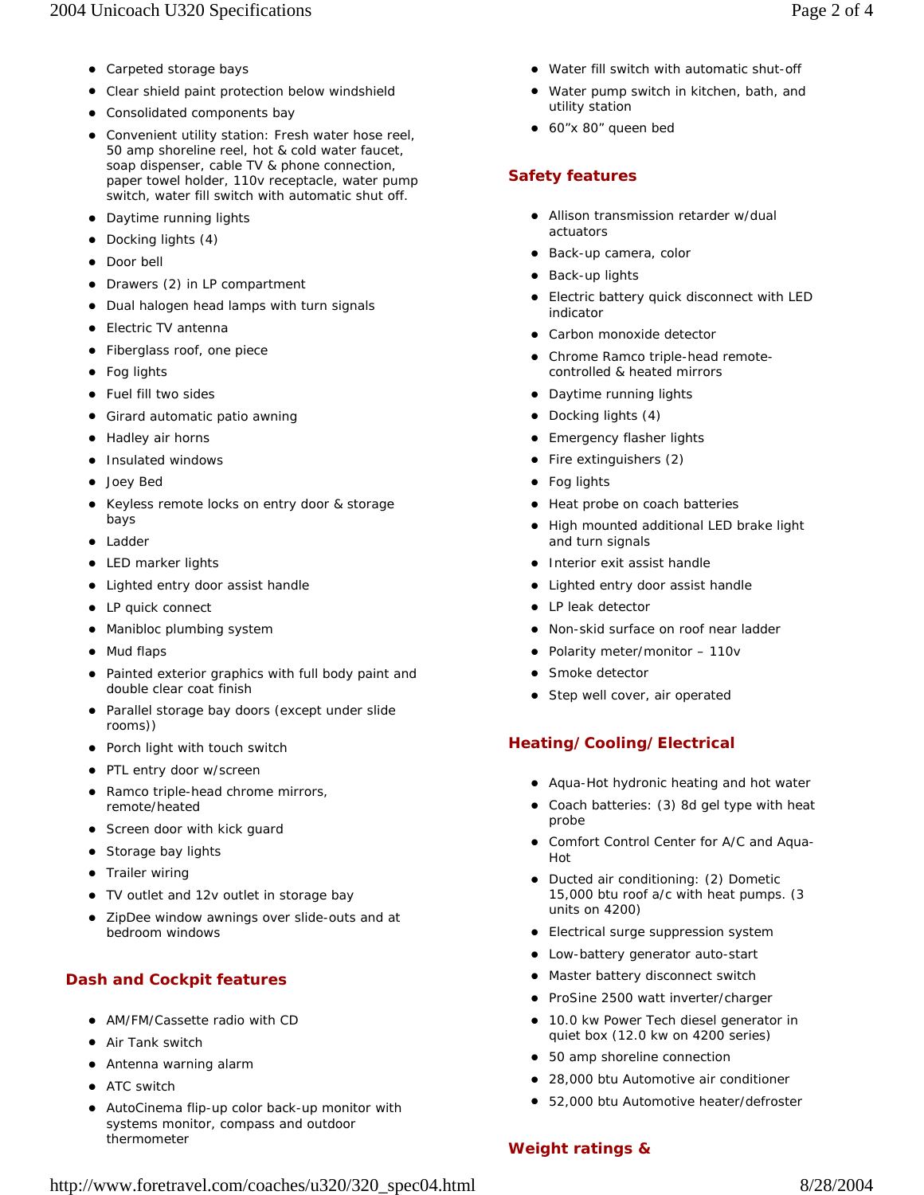- Carpeted storage bays
- Clear shield paint protection below windshield
- Consolidated components bay
- Convenient utility station: Fresh water hose reel, 50 amp shoreline reel, hot & cold water faucet, soap dispenser, cable TV & phone connection, paper towel holder, 110v receptacle, water pump switch, water fill switch with automatic shut off.
- Daytime running lights
- Docking lights (4)
- Door bell
- Drawers (2) in LP compartment
- Dual halogen head lamps with turn signals
- Electric TV antenna
- Fiberglass roof, one piece
- Fog lights
- Fuel fill two sides
- Girard automatic patio awning
- Hadley air horns
- Insulated windows
- Joey Bed
- Keyless remote locks on entry door & storage bays
- Ladder
- LED marker lights
- Lighted entry door assist handle
- LP quick connect
- Manibloc plumbing system
- Mud flaps
- Painted exterior graphics with full body paint and double clear coat finish
- Parallel storage bay doors (except under slide rooms))
- Porch light with touch switch
- PTL entry door w/screen
- Ramco triple-head chrome mirrors, remote/heated
- Screen door with kick guard
- Storage bay lights
- Trailer wiring
- TV outlet and 12v outlet in storage bay
- ZipDee window awnings over slide-outs and at bedroom windows

## **Dash and Cockpit features**

- AM/FM/Cassette radio with CD
- Air Tank switch
- Antenna warning alarm
- ATC switch
- AutoCinema flip-up color back-up monitor with systems monitor, compass and outdoor thermometer
- Water fill switch with automatic shut-off
- Water pump switch in kitchen, bath, and utility station
- z 60"x 80" queen bed

#### **Safety features**

- Allison transmission retarder w/dual actuators
- Back-up camera, color
- Back-up lights
- Electric battery quick disconnect with LED indicator
- Carbon monoxide detector
- Chrome Ramco triple-head remotecontrolled & heated mirrors
- Daytime running lights
- Docking lights (4)
- Emergency flasher lights
- $\bullet$  Fire extinguishers (2)
- Fog lights
- Heat probe on coach batteries
- High mounted additional LED brake light and turn signals
- Interior exit assist handle
- Lighted entry door assist handle
- LP leak detector
- Non-skid surface on roof near ladder
- Polarity meter/monitor 110v
- Smoke detector
- Step well cover, air operated

## **Heating/Cooling/Electrical**

- Aqua-Hot hydronic heating and hot water
- Coach batteries: (3) 8d gel type with heat probe
- Comfort Control Center for A/C and Aqua-Hot
- Ducted air conditioning: (2) Dometic 15,000 btu roof a/c with heat pumps. (3 units on 4200)
- Electrical surge suppression system
- Low-battery generator auto-start
- Master battery disconnect switch
- ProSine 2500 watt inverter/charger
- 10.0 kw Power Tech diesel generator in quiet box (12.0 kw on 4200 series)
- 50 amp shoreline connection
- 28,000 btu Automotive air conditioner
- 52,000 btu Automotive heater/defroster

#### **Weight ratings &**

http://www.foretravel.com/coaches/u320/320\_spec04.html 8/28/2004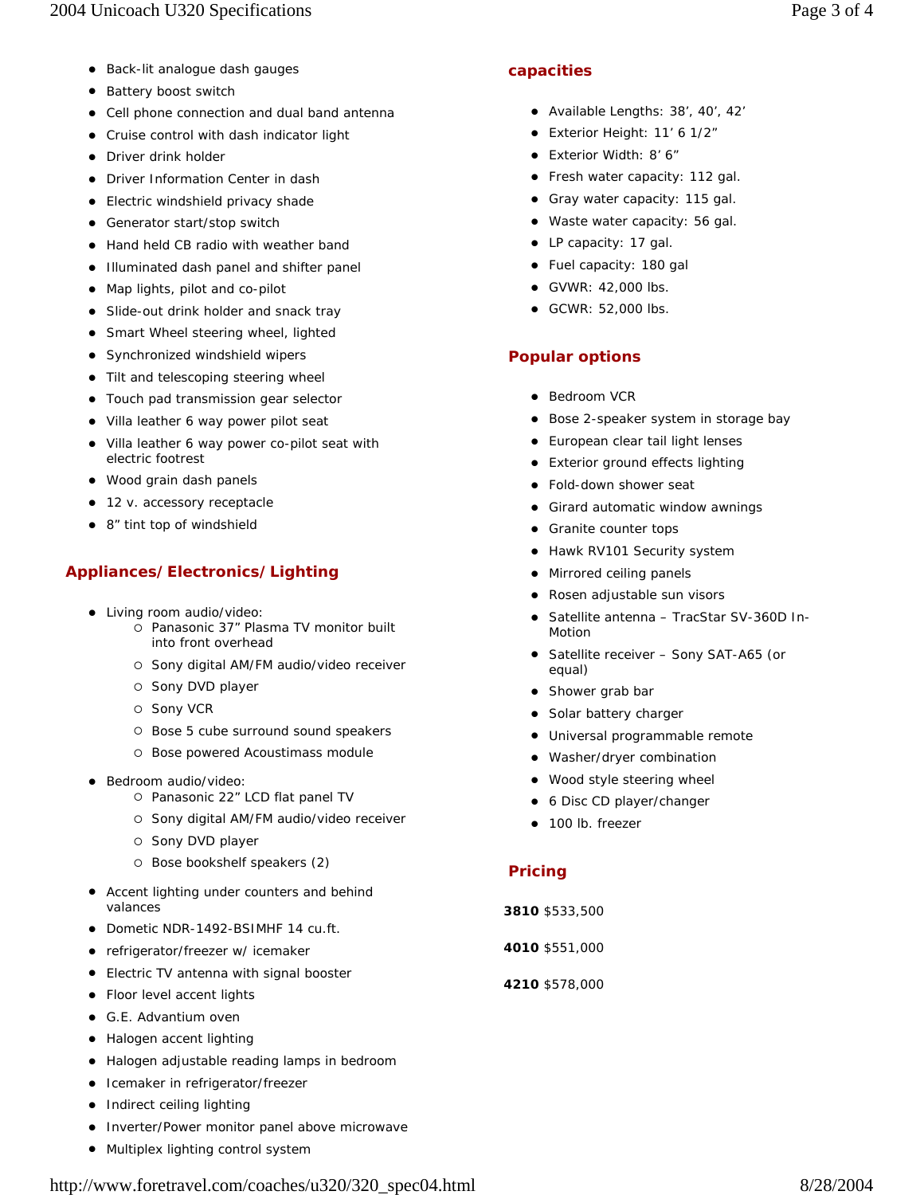- Back-lit analogue dash gauges
- Battery boost switch
- Cell phone connection and dual band antenna
- Cruise control with dash indicator light
- Driver drink holder
- **•** Driver Information Center in dash
- Electric windshield privacy shade
- Generator start/stop switch
- Hand held CB radio with weather band
- Illuminated dash panel and shifter panel
- Map lights, pilot and co-pilot
- Slide-out drink holder and snack tray
- Smart Wheel steering wheel, lighted
- Synchronized windshield wipers
- Tilt and telescoping steering wheel
- Touch pad transmission gear selector
- Villa leather 6 way power pilot seat
- Villa leather 6 way power co-pilot seat with electric footrest
- Wood grain dash panels
- 12 v. accessory receptacle
- 8" tint top of windshield

## **Appliances/Electronics/Lighting**

- Living room audio/video:
	- { Panasonic 37" Plasma TV monitor built into front overhead
	- { Sony digital AM/FM audio/video receiver
	- { Sony DVD player
	- { Sony VCR
	- { Bose 5 cube surround sound speakers
	- { Bose powered Acoustimass module
- · Bedroom audio/video:
	- { Panasonic 22" LCD flat panel TV
	- { Sony digital AM/FM audio/video receiver
	- { Sony DVD player
	- { Bose bookshelf speakers (2)
- Accent lighting under counters and behind valances
- Dometic NDR-1492-BSIMHF 14 cu.ft.
- refrigerator/freezer w/ icemaker
- Electric TV antenna with signal booster
- Floor level accent lights
- **•** G.E. Advantium oven
- Halogen accent lighting
- Halogen adjustable reading lamps in bedroom
- Icemaker in refrigerator/freezer
- Indirect ceiling lighting
- Inverter/Power monitor panel above microwave
- Multiplex lighting control system

## **capacities**

- Available Lengths: 38', 40', 42'
- Exterior Height: 11' 6 1/2"
- Exterior Width: 8' 6"
- Fresh water capacity: 112 gal.
- Gray water capacity: 115 gal.
- Waste water capacity: 56 gal.
- LP capacity: 17 gal.
- Fuel capacity: 180 gal
- $\bullet$  GVWR: 42,000 lbs.
- $\bullet$  GCWR: 52,000 lbs.

## **Popular options**

- Bedroom VCR
- Bose 2-speaker system in storage bay
- European clear tail light lenses
- Exterior ground effects lighting
- Fold-down shower seat
- Girard automatic window awnings
- Granite counter tops
- Hawk RV101 Security system
- Mirrored ceiling panels
- Rosen adjustable sun visors
- Satellite antenna TracStar SV-360D In-Motion
- Satellite receiver Sony SAT-A65 (or equal)
- Shower grab bar
- Solar battery charger
- Universal programmable remote
- Washer/dryer combination
- Wood style steering wheel
- 6 Disc CD player/changer
- 100 lb. freezer

## **Pricing**

- **3810** \$533,500
- **4010** \$551,000
- **4210** \$578,000